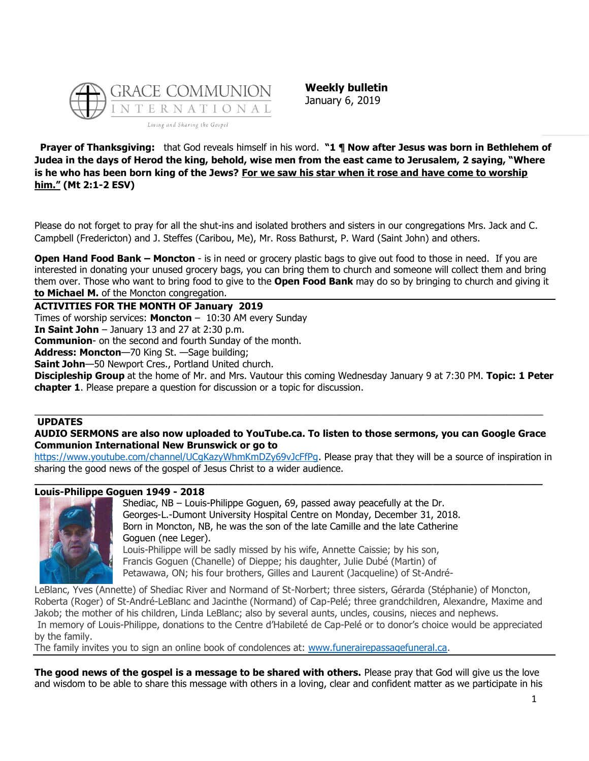

**Weekly bulletin** January 6, 2019

**Prayer of Thanksgiving:** that God reveals himself in his word. **"1 ¶ Now after Jesus was born in Bethlehem of Judea in the days of Herod the king, behold, wise men from the east came to Jerusalem, 2 saying, "Where is he who has been born king of the Jews? For we saw his star when it rose and have come to worship him." (Mt 2:1-2 ESV)**

Please do not forget to pray for all the shut-ins and isolated brothers and sisters in our congregations Mrs. Jack and C. Campbell (Fredericton) and J. Steffes (Caribou, Me), Mr. Ross Bathurst, P. Ward (Saint John) and others.

**Open Hand Food Bank – Moncton** - is in need or grocery plastic bags to give out food to those in need. If you are interested in donating your unused grocery bags, you can bring them to church and someone will collect them and bring them over. Those who want to bring food to give to the **Open Food Bank** may do so by bringing to church and giving it **to Michael M.** of the Moncton congregation.

**ACTIVITIES FOR THE MONTH OF January 2019**

Times of worship services: **Moncton** – 10:30 AM every Sunday

**In Saint John** – January 13 and 27 at 2:30 p.m.

**Communion**- on the second and fourth Sunday of the month.

**Address: Moncton**—70 King St. —Sage building;

**Saint John**—50 Newport Cres., Portland United church.

**Discipleship Group** at the home of Mr. and Mrs. Vautour this coming Wednesday January 9 at 7:30 PM. **Topic: 1 Peter chapter 1**. Please prepare a question for discussion or a topic for discussion.

# **UPDATES**

### **AUDIO SERMONS are also now uploaded to YouTube.ca. To listen to those sermons, you can Google Grace Communion International New Brunswick or go to**

 $\_$  ,  $\_$  ,  $\_$  ,  $\_$  ,  $\_$  ,  $\_$  ,  $\_$  ,  $\_$  ,  $\_$  ,  $\_$  ,  $\_$  ,  $\_$  ,  $\_$  ,  $\_$  ,  $\_$  ,  $\_$  ,  $\_$  ,  $\_$  ,  $\_$  ,  $\_$  ,  $\_$  ,  $\_$  ,  $\_$  ,  $\_$  ,  $\_$  ,  $\_$  ,  $\_$  ,  $\_$  ,  $\_$  ,  $\_$  ,  $\_$  ,  $\_$  ,  $\_$  ,  $\_$  ,  $\_$  ,  $\_$  ,  $\_$  ,

[https://www.youtube.com/channel/UCgKazyWhmKmDZy69vJcFfPg.](https://www.youtube.com/channel/UCgKazyWhmKmDZy69vJcFfPg) Please pray that they will be a source of inspiration in sharing the good news of the gospel of Jesus Christ to a wider audience.

#### **\_\_\_\_\_\_\_\_\_\_\_\_\_\_\_\_\_\_\_\_\_\_\_\_\_\_\_\_\_\_\_\_\_\_\_\_\_\_\_\_\_\_\_\_\_\_\_\_\_\_\_\_\_\_\_\_\_\_\_\_\_\_\_\_\_\_\_\_\_\_\_\_\_\_\_\_\_\_\_\_\_\_\_ Louis-Philippe Goguen 1949 - 2018**



Shediac, NB – Louis-Philippe Goguen, 69, passed away peacefully at the Dr. Georges-L.-Dumont University Hospital Centre on Monday, December 31, 2018. Born in Moncton, NB, he was the son of the late Camille and the late Catherine Goguen (nee Leger). Louis-Philippe will be sadly missed by his wife, Annette Caissie; by his son, Francis Goguen (Chanelle) of Dieppe; his daughter, Julie Dubé (Martin) of Petawawa, ON; his four brothers, Gilles and Laurent (Jacqueline) of St-André-

LeBlanc, Yves (Annette) of Shediac River and Normand of St-Norbert; three sisters, Gérarda (Stéphanie) of Moncton, Roberta (Roger) of St-André-LeBlanc and Jacinthe (Normand) of Cap-Pelé; three grandchildren, Alexandre, Maxime and Jakob; the mother of his children, Linda LeBlanc; also by several aunts, uncles, cousins, nieces and nephews.

In memory of Louis-Philippe, donations to the Centre d'Habileté de Cap-Pelé or to donor's choice would be appreciated by the family.

The family invites you to sign an online book of condolences at: [www.funerairepassagefuneral.ca.](http://www.funerairepassagefuneral.ca/)

**The good news of the gospel is a message to be shared with others.** Please pray that God will give us the love and wisdom to be able to share this message with others in a loving, clear and confident matter as we participate in his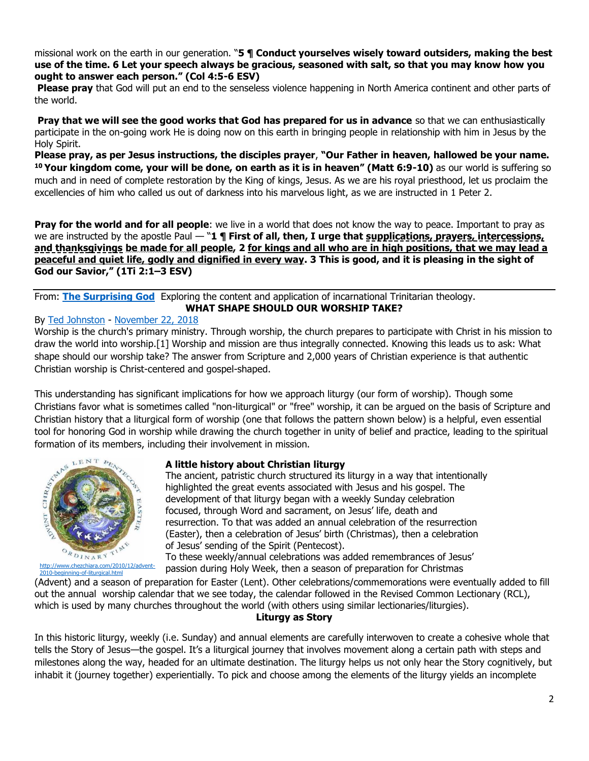missional work on the earth in our generation. "**5 ¶ Conduct yourselves wisely toward outsiders, making the best use of the time. 6 Let your speech always be gracious, seasoned with salt, so that you may know how you ought to answer each person." (Col 4:5-6 ESV)**

**Please pray** that God will put an end to the senseless violence happening in North America continent and other parts of the world.

**Pray that we will see the good works that God has prepared for us in advance** so that we can enthusiastically participate in the on-going work He is doing now on this earth in bringing people in relationship with him in Jesus by the Holy Spirit.

**Please pray, as per Jesus instructions, the disciples prayer**, **"Our Father in heaven, hallowed be your name. <sup>10</sup> Your kingdom come, your will be done, on earth as it is in heaven" (Matt 6:9-10)** as our world is suffering so much and in need of complete restoration by the King of kings, Jesus. As we are his royal priesthood, let us proclaim the excellencies of him who called us out of darkness into his marvelous light, as we are instructed in 1 Peter 2.

**Pray for the world and for all people**: we live in a world that does not know the way to peace. Important to pray as we are instructed by the apostle Paul — "**1 ¶ First of all, then, I urge that supplications, prayers, intercessions, and thanksgivings be made for all people, 2 for kings and all who are in high positions, that we may lead a peaceful and quiet life, godly and dignified in every way. 3 This is good, and it is pleasing in the sight of God our Savior," (1Ti 2:1–3 ESV)**

From: **[The Surprising God](http://thesurprisinggodblog.gci.org/)** Exploring the content and application of incarnational Trinitarian theology. **WHAT SHAPE SHOULD OUR WORSHIP TAKE?**

### By [Ted Johnston](https://www.blogger.com/profile/08677739021765621811) - [November 22, 2018](http://thesurprisinggodblog.gci.org/2018/11/what-shape-should-our-worship-take.html)

Worship is the church's primary ministry. Through worship, the church prepares to participate with Christ in his mission to draw the world into worship.[1] Worship and mission are thus integrally connected. Knowing this leads us to ask: What shape should our worship take? The answer from Scripture and 2,000 years of Christian experience is that authentic Christian worship is Christ-centered and gospel-shaped.

This understanding has significant implications for how we approach liturgy (our form of worship). Though some Christians favor what is sometimes called "non-liturgical" or "free" worship, it can be argued on the basis of Scripture and Christian history that a liturgical form of worship (one that follows the pattern shown below) is a helpful, even essential tool for honoring God in worship while drawing the church together in unity of belief and practice, leading to the spiritual formation of its members, including their involvement in mission.



### **A little history about Christian liturgy**

The ancient, patristic church structured its liturgy in a way that intentionally highlighted the great events associated with Jesus and his gospel. The development of that liturgy began with a weekly Sunday celebration focused, through Word and sacrament, on Jesus' life, death and resurrection. To that was added an annual celebration of the resurrection (Easter), then a celebration of Jesus' birth (Christmas), then a celebration of Jesus' sending of the Spirit (Pentecost).

To these weekly/annual celebrations was added remembrances of Jesus' passion during Holy Week, then a season of preparation for Christmas

(Advent) and a season of preparation for Easter (Lent). Other celebrations/commemorations were eventually added to fill out the annual worship calendar that we see today, the calendar followed in the Revised Common Lectionary (RCL), which is used by many churches throughout the world (with others using similar lectionaries/liturgies).

### **Liturgy as Story**

In this historic liturgy, weekly (i.e. Sunday) and annual elements are carefully interwoven to create a cohesive whole that tells the Story of Jesus—the gospel. It's a liturgical journey that involves movement along a certain path with steps and milestones along the way, headed for an ultimate destination. The liturgy helps us not only hear the Story cognitively, but inhabit it (journey together) experientially. To pick and choose among the elements of the liturgy yields an incomplete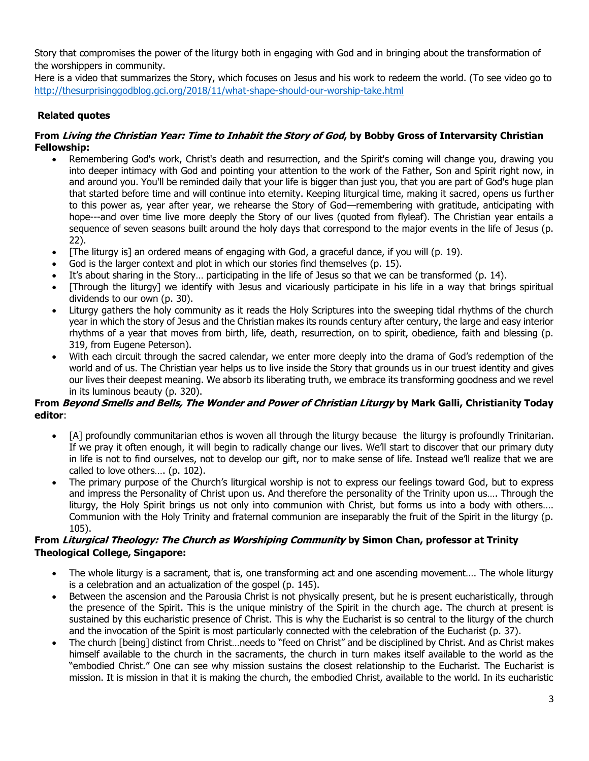Story that compromises the power of the liturgy both in engaging with God and in bringing about the transformation of the worshippers in community.

Here is a video that summarizes the Story, which focuses on Jesus and his work to redeem the world. (To see video go to <http://thesurprisinggodblog.gci.org/2018/11/what-shape-should-our-worship-take.html>

# **Related quotes**

# **From Living the Christian Year: Time to Inhabit the Story of God, by Bobby Gross of Intervarsity Christian Fellowship:**

- Remembering God's work, Christ's death and resurrection, and the Spirit's coming will change you, drawing you into deeper intimacy with God and pointing your attention to the work of the Father, Son and Spirit right now, in and around you. You'll be reminded daily that your life is bigger than just you, that you are part of God's huge plan that started before time and will continue into eternity. Keeping liturgical time, making it sacred, opens us further to this power as, year after year, we rehearse the Story of God—remembering with gratitude, anticipating with hope---and over time live more deeply the Story of our lives (quoted from flyleaf). The Christian year entails a sequence of seven seasons built around the holy days that correspond to the major events in the life of Jesus (p. 22).
- [The liturgy is] an ordered means of engaging with God, a graceful dance, if you will (p. 19).
- God is the larger context and plot in which our stories find themselves (p. 15).
- It's about sharing in the Story... participating in the life of Jesus so that we can be transformed (p. 14).
- [Through the liturgy] we identify with Jesus and vicariously participate in his life in a way that brings spiritual dividends to our own (p. 30).
- Liturgy gathers the holy community as it reads the Holy Scriptures into the sweeping tidal rhythms of the church year in which the story of Jesus and the Christian makes its rounds century after century, the large and easy interior rhythms of a year that moves from birth, life, death, resurrection, on to spirit, obedience, faith and blessing (p. 319, from Eugene Peterson).
- With each circuit through the sacred calendar, we enter more deeply into the drama of God's redemption of the world and of us. The Christian year helps us to live inside the Story that grounds us in our truest identity and gives our lives their deepest meaning. We absorb its liberating truth, we embrace its transforming goodness and we revel in its luminous beauty (p. 320).

# **From Beyond Smells and Bells, The Wonder and Power of Christian Liturgy by Mark Galli, Christianity Today editor**:

- [A] profoundly communitarian ethos is woven all through the liturgy because the liturgy is profoundly Trinitarian. If we pray it often enough, it will begin to radically change our lives. We'll start to discover that our primary duty in life is not to find ourselves, not to develop our gift, nor to make sense of life. Instead we'll realize that we are called to love others…. (p. 102).
- The primary purpose of the Church's liturgical worship is not to express our feelings toward God, but to express and impress the Personality of Christ upon us. And therefore the personality of the Trinity upon us…. Through the liturgy, the Holy Spirit brings us not only into communion with Christ, but forms us into a body with others…. Communion with the Holy Trinity and fraternal communion are inseparably the fruit of the Spirit in the liturgy (p. 105).

# **From Liturgical Theology: The Church as Worshiping Community by Simon Chan, professor at Trinity Theological College, Singapore:**

- The whole liturgy is a sacrament, that is, one transforming act and one ascending movement…. The whole liturgy is a celebration and an actualization of the gospel (p. 145).
- Between the ascension and the Parousia Christ is not physically present, but he is present eucharistically, through the presence of the Spirit. This is the unique ministry of the Spirit in the church age. The church at present is sustained by this eucharistic presence of Christ. This is why the Eucharist is so central to the liturgy of the church and the invocation of the Spirit is most particularly connected with the celebration of the Eucharist (p. 37).
- The church [being] distinct from Christ…needs to "feed on Christ" and be disciplined by Christ. And as Christ makes himself available to the church in the sacraments, the church in turn makes itself available to the world as the "embodied Christ." One can see why mission sustains the closest relationship to the Eucharist. The Eucharist is mission. It is mission in that it is making the church, the embodied Christ, available to the world. In its eucharistic